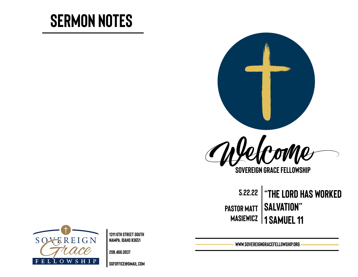# **Sermon Notes**



**Sovereign Grace Fellowship**

**5.22.22 "the lord has worked Pastor matt Masiewicz 1 Samuel 11 salvation"** 



**1311 6th Street south Nampa, Idaho 83651** 

**208.466.0937** 

**[sgfoffice@gmail.com](mailto:sgfoffice@gmail.com)**

**www.SovereignGraceFellowship.org**